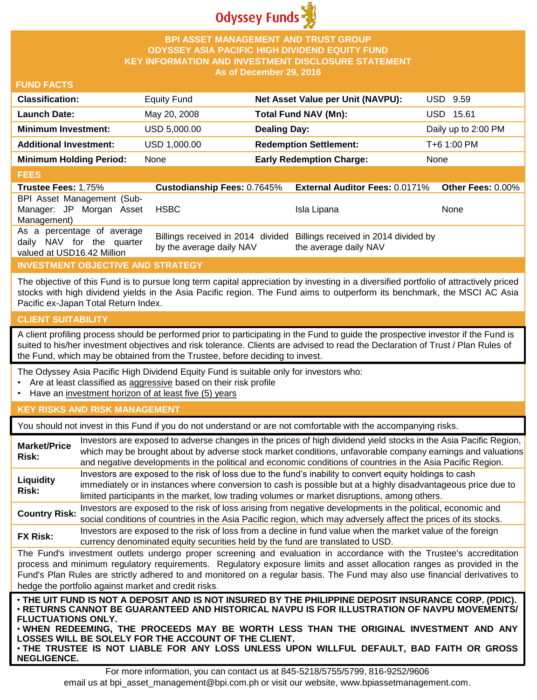

## **BPI ASSET MANAGEMENT AND TRUST GROUP ODYSSEY ASIA PACIFIC HIGH DIVIDEND EQUITY FUND KEY INFORMATION AND INVESTMENT DISCLOSURE STATEMENT As of December 29, 2016**

### **FUND FACTS**

| <b>Classification:</b>         | <b>Equity Fund</b> | Net Asset Value per Unit (NAVPU): | USD 9.59            |
|--------------------------------|--------------------|-----------------------------------|---------------------|
| <b>Launch Date:</b>            | May 20, 2008       | Total Fund NAV (Mn):              | USD 15.61           |
| <b>Minimum Investment:</b>     | USD 5,000.00       | <b>Dealing Day:</b>               | Daily up to 2:00 PM |
| <b>Additional Investment:</b>  | USD 1,000.00       | <b>Redemption Settlement:</b>     | T+6 1:00 PM         |
| <b>Minimum Holding Period:</b> | None               | <b>Early Redemption Charge:</b>   | None                |

## **FEES**

| <b>Trustee Fees: 1.75%</b>                                                            | <b>Custodianship Fees: 0.7645%</b> | <b>External Auditor Fees: 0.0171% Other Fees: 0.00%</b>                                         |             |
|---------------------------------------------------------------------------------------|------------------------------------|-------------------------------------------------------------------------------------------------|-------------|
| BPI Asset Management (Sub-                                                            |                                    |                                                                                                 |             |
| Manager: JP Morgan Asset                                                              | HSBC                               | Isla Lipana                                                                                     | <b>None</b> |
| Management)                                                                           |                                    |                                                                                                 |             |
| As a percentage of average<br>daily NAV for the quarter<br>valued at USD16.42 Million | by the average daily NAV           | Billings received in 2014 divided Billings received in 2014 divided by<br>the average daily NAV |             |

# **INVESTMENT OBJECTIVE AND STRATEGY**

The objective of this Fund is to pursue long term capital appreciation by investing in a diversified portfolio of attractively priced stocks with high dividend yields in the Asia Pacific region. The Fund aims to outperform its benchmark, the MSCI AC Asia Pacific ex-Japan Total Return Index.

### **CLIENT SUITABILITY**

**NEGLIGENCE.**

A client profiling process should be performed prior to participating in the Fund to guide the prospective investor if the Fund is suited to his/her investment objectives and risk tolerance. Clients are advised to read the Declaration of Trust / Plan Rules of the Fund, which may be obtained from the Trustee, before deciding to invest.

The Odyssey Asia Pacific High Dividend Equity Fund is suitable only for investors who:

- Are at least classified as aggressive based on their risk profile
- Have an investment horizon of at least five (5) years

### **KEY RISKS AND RISK MANAGEMENT**

You should not invest in this Fund if you do not understand or are not comfortable with the accompanying risks.

| <b>Market/Price</b><br>Risk:                                                                                                                                                                                                                                                                                                                                                                                                         | Investors are exposed to adverse changes in the prices of high dividend yield stocks in the Asia Pacific Region,<br>which may be brought about by adverse stock market conditions, unfavorable company earnings and valuations<br>and negative developments in the political and economic conditions of countries in the Asia Pacific Region. |  |  |
|--------------------------------------------------------------------------------------------------------------------------------------------------------------------------------------------------------------------------------------------------------------------------------------------------------------------------------------------------------------------------------------------------------------------------------------|-----------------------------------------------------------------------------------------------------------------------------------------------------------------------------------------------------------------------------------------------------------------------------------------------------------------------------------------------|--|--|
| Liquidity<br><b>Risk:</b>                                                                                                                                                                                                                                                                                                                                                                                                            | Investors are exposed to the risk of loss due to the fund's inability to convert equity holdings to cash<br>immediately or in instances where conversion to cash is possible but at a highly disadvantageous price due to<br>limited participants in the market, low trading volumes or market disruptions, among others.                     |  |  |
| <b>Country Risk:</b>                                                                                                                                                                                                                                                                                                                                                                                                                 | Investors are exposed to the risk of loss arising from negative developments in the political, economic and<br>social conditions of countries in the Asia Pacific region, which may adversely affect the prices of its stocks.                                                                                                                |  |  |
| <b>FX Risk:</b>                                                                                                                                                                                                                                                                                                                                                                                                                      | Investors are exposed to the risk of loss from a decline in fund value when the market value of the foreign<br>currency denominated equity securities held by the fund are translated to USD.                                                                                                                                                 |  |  |
| The Fund's investment outlets undergo proper screening and evaluation in accordance with the Trustee's accreditation<br>process and minimum regulatory requirements. Regulatory exposure limits and asset allocation ranges as provided in the<br>Fund's Plan Rules are strictly adhered to and monitored on a regular basis. The Fund may also use financial derivatives to<br>hedge the portfolio against market and credit risks. |                                                                                                                                                                                                                                                                                                                                               |  |  |
| . THE UIT FUND IS NOT A DEPOSIT AND IS NOT INSURED BY THE PHILIPPINE DEPOSIT INSURANCE CORP. (PDIC).<br>⋅RETURNS CANNOT BE GUARANTEED AND HISTORICAL NAVPU IS FOR ILLUSTRATION OF NAVPU MOVEMENTS/<br><b>FLUCTUATIONS ONLY.</b><br>. WHEN REDEEMING, THE PROCEEDS MAY BE WORTH LESS THAN THE ORIGINAL INVESTMENT AND ANY<br>LOSSES WILL BE SOLELY FOR THE ACCOUNT OF THE CLIENT.                                                     |                                                                                                                                                                                                                                                                                                                                               |  |  |

For more information, you can contact us at 845-5218/5755/5799, 816-9252/9606 email us at bpi\_asset\_management@bpi.com.ph or visit our website, www.bpiassetmanagement.com.

• **THE TRUSTEE IS NOT LIABLE FOR ANY LOSS UNLESS UPON WILLFUL DEFAULT, BAD FAITH OR GROSS**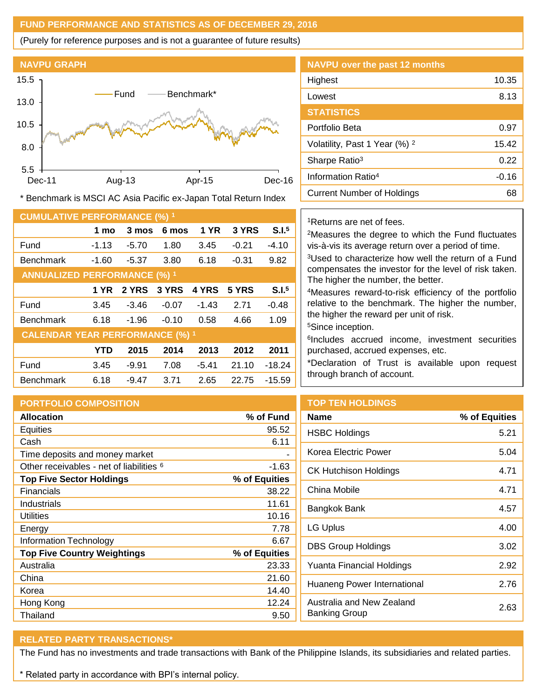# **FUND PERFORMANCE AND STATISTICS AS OF DECEMBER 29, 2016**

(Purely for reference purposes and is not a guarantee of future results)



\* Benchmark is MSCI AC Asia Pacific ex-Japan Total Return Index

| <b>CUMULATIVE PERFORMANCE (%) 1</b>    |            |         |         |             |         |                   |
|----------------------------------------|------------|---------|---------|-------------|---------|-------------------|
|                                        | 1 mo       | 3 mos   | 6 mos   | <b>1 YR</b> | 3 YRS   | S.I. <sup>5</sup> |
| Fund                                   | $-1.13$    | $-5.70$ | 1.80    | 3.45        | $-0.21$ | $-4.10$           |
| <b>Benchmark</b>                       | $-1.60$    | $-5.37$ | 3.80    | 6.18        | $-0.31$ | 9.82              |
| <b>ANNUALIZED PERFORMANCE (%) 1</b>    |            |         |         |             |         |                   |
|                                        | 1 YR       | 2 YRS   | 3 YRS   | 4 YRS       | 5 YRS   | S.I. <sup>5</sup> |
| Fund                                   | 3.45       | $-3.46$ | $-0.07$ | $-1.43$     | 2.71    | $-0.48$           |
| <b>Benchmark</b>                       | 6.18       | $-1.96$ | $-0.10$ | 0.58        | 4.66    | 1.09              |
| <b>CALENDAR YEAR PERFORMANCE (%) 1</b> |            |         |         |             |         |                   |
|                                        | <b>YTD</b> | 2015    | 2014    | 2013        | 2012    | 2011              |
| Fund                                   | 3.45       | $-9.91$ | 7.08    | $-5.41$     | 21.10   | $-18.24$          |
| <b>Benchmark</b>                       | 6.18       | -9.47   | 3.71    | 2.65        | 22.75   | $-15.59$          |

| <b>NAVPU over the past 12 months</b>     |         |
|------------------------------------------|---------|
| Highest                                  | 10.35   |
| Lowest                                   | 8.13    |
| <b>STATISTICS</b>                        |         |
| Portfolio Beta                           | 0.97    |
| Volatility, Past 1 Year (%) <sup>2</sup> | 15.42   |
| Sharpe Ratio <sup>3</sup>                | 0.22    |
| Information Ratio <sup>4</sup>           | $-0.16$ |
| Current Number of Holdings               | 68      |
|                                          |         |

<sup>1</sup>Returns are net of fees.

<sup>2</sup>Measures the degree to which the Fund fluctuates vis-à-vis its average return over a period of time. <sup>3</sup>Used to characterize how well the return of a Fund

compensates the investor for the level of risk taken. The higher the number, the better.

<sup>4</sup>Measures reward-to-risk efficiency of the portfolio relative to the benchmark. The higher the number, the higher the reward per unit of risk.

<sup>5</sup>Since inception.

6 Includes accrued income, investment securities purchased, accrued expenses, etc.

\*Declaration of Trust is available upon request through branch of account.

| <b>PORTFOLIO COMPOSITION</b>                        |               |   |
|-----------------------------------------------------|---------------|---|
| <b>Allocation</b>                                   | % of Fund     |   |
| Equities                                            | 95.52         | ŀ |
| Cash                                                | 6.11          |   |
| Time deposits and money market                      |               | ŀ |
| Other receivables - net of liabilities <sup>6</sup> | $-1.63$       |   |
| <b>Top Five Sector Holdings</b>                     | % of Equities |   |
| <b>Financials</b>                                   | 38.22         |   |
| Industrials                                         | 11.61         | E |
| Utilities                                           | 10.16         |   |
| Energy                                              | 7.78          | L |
| Information Technology                              | 6.67          |   |
| <b>Top Five Country Weightings</b>                  | % of Equities |   |
| Australia                                           | 23.33         |   |
| China                                               | 21.60         | ŀ |
| Korea                                               | 14.40         |   |
| Hong Kong                                           | 12.24         | ł |
| Thailand                                            | 9.50          | E |
|                                                     |               |   |

### **TOP TEN HOLDINGS**

| <b>Name</b>                                | % of Equities |
|--------------------------------------------|---------------|
| HSBC Holdings                              | 5.21          |
| Korea Electric Power                       | 5.04          |
| CK Hutchison Holdings                      | 4.71          |
| China Mobile                               | 4.71          |
| Bangkok Bank                               | 4.57          |
| LG Uplus                                   | 4.00          |
| DBS Group Holdings                         | 3.02          |
| Yuanta Financial Holdings                  | 2.92          |
| Huaneng Power International                | 2.76          |
| Australia and New Zealand<br>Banking Group | 2.63          |

### **RELATED PARTY TRANSACTIONS\***

The Fund has no investments and trade transactions with Bank of the Philippine Islands, its subsidiaries and related parties.

\* Related party in accordance with BPI's internal policy.